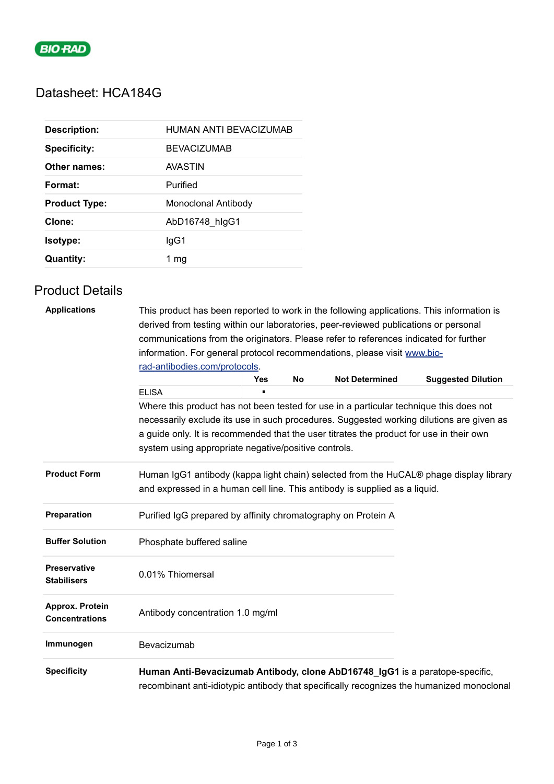

# Datasheet: HCA184G

| <b>Description:</b>  | HUMAN ANTI BEVACIZUMAB |
|----------------------|------------------------|
| <b>Specificity:</b>  | <b>BEVACIZUMAB</b>     |
| Other names:         | AVASTIN                |
| Format:              | Purified               |
| <b>Product Type:</b> | Monoclonal Antibody    |
|                      |                        |
| Clone:               | AbD16748 hlgG1         |
| Isotype:             | lgG1                   |

## Product Details

| <b>Applications</b>                       | This product has been reported to work in the following applications. This information is<br>derived from testing within our laboratories, peer-reviewed publications or personal                  |            |    |                       |                                                                                           |  |  |
|-------------------------------------------|----------------------------------------------------------------------------------------------------------------------------------------------------------------------------------------------------|------------|----|-----------------------|-------------------------------------------------------------------------------------------|--|--|
|                                           | communications from the originators. Please refer to references indicated for further<br>information. For general protocol recommendations, please visit www.bio-<br>rad-antibodies.com/protocols. |            |    |                       |                                                                                           |  |  |
|                                           |                                                                                                                                                                                                    |            |    |                       |                                                                                           |  |  |
|                                           |                                                                                                                                                                                                    |            |    |                       |                                                                                           |  |  |
|                                           |                                                                                                                                                                                                    | <b>Yes</b> | No | <b>Not Determined</b> | <b>Suggested Dilution</b>                                                                 |  |  |
|                                           | <b>ELISA</b>                                                                                                                                                                                       |            |    |                       |                                                                                           |  |  |
|                                           | Where this product has not been tested for use in a particular technique this does not                                                                                                             |            |    |                       |                                                                                           |  |  |
|                                           | necessarily exclude its use in such procedures. Suggested working dilutions are given as<br>a guide only. It is recommended that the user titrates the product for use in their own                |            |    |                       |                                                                                           |  |  |
|                                           | system using appropriate negative/positive controls.                                                                                                                                               |            |    |                       |                                                                                           |  |  |
| <b>Product Form</b>                       | Human IgG1 antibody (kappa light chain) selected from the HuCAL® phage display library<br>and expressed in a human cell line. This antibody is supplied as a liquid.                               |            |    |                       |                                                                                           |  |  |
| Preparation                               | Purified IgG prepared by affinity chromatography on Protein A                                                                                                                                      |            |    |                       |                                                                                           |  |  |
| <b>Buffer Solution</b>                    | Phosphate buffered saline                                                                                                                                                                          |            |    |                       |                                                                                           |  |  |
| <b>Preservative</b><br><b>Stabilisers</b> | 0.01% Thiomersal                                                                                                                                                                                   |            |    |                       |                                                                                           |  |  |
| Approx. Protein<br><b>Concentrations</b>  | Antibody concentration 1.0 mg/ml                                                                                                                                                                   |            |    |                       |                                                                                           |  |  |
| Immunogen                                 | Bevacizumab                                                                                                                                                                                        |            |    |                       |                                                                                           |  |  |
| <b>Specificity</b>                        | Human Anti-Bevacizumab Antibody, clone AbD16748_IgG1 is a paratope-specific,                                                                                                                       |            |    |                       | recombinant anti-idiotypic antibody that specifically recognizes the humanized monoclonal |  |  |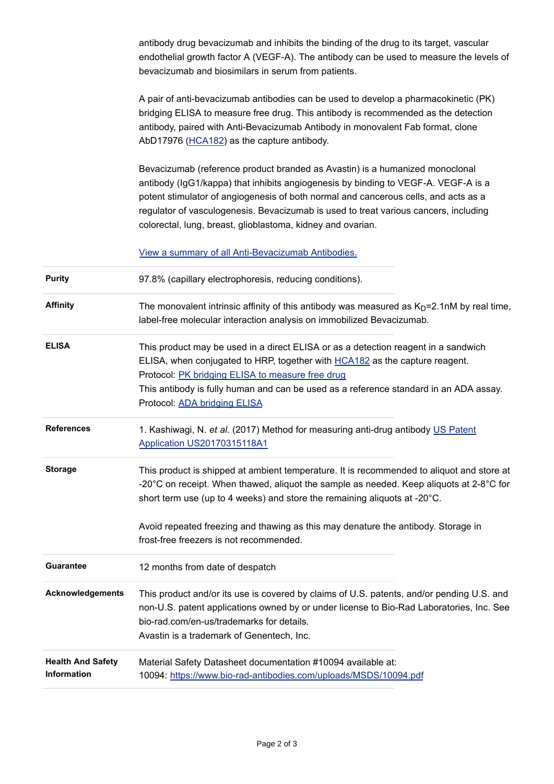|                                                | antibody drug bevacizumab and inhibits the binding of the drug to its target, vascular<br>endothelial growth factor A (VEGF-A). The antibody can be used to measure the levels of<br>bevacizumab and biosimilars in serum from patients.                                                                                                                                                                         |
|------------------------------------------------|------------------------------------------------------------------------------------------------------------------------------------------------------------------------------------------------------------------------------------------------------------------------------------------------------------------------------------------------------------------------------------------------------------------|
|                                                | A pair of anti-bevacizumab antibodies can be used to develop a pharmacokinetic (PK)<br>bridging ELISA to measure free drug. This antibody is recommended as the detection<br>antibody, paired with Anti-Bevacizumab Antibody in monovalent Fab format, clone<br>AbD17976 (HCA182) as the capture antibody.                                                                                                       |
|                                                | Bevacizumab (reference product branded as Avastin) is a humanized monoclonal<br>antibody (IgG1/kappa) that inhibits angiogenesis by binding to VEGF-A. VEGF-A is a<br>potent stimulator of angiogenesis of both normal and cancerous cells, and acts as a<br>regulator of vasculogenesis. Bevacizumab is used to treat various cancers, including<br>colorectal, lung, breast, glioblastoma, kidney and ovarian. |
|                                                | View a summary of all Anti-Bevacizumab Antibodies.                                                                                                                                                                                                                                                                                                                                                               |
| <b>Purity</b>                                  | 97.8% (capillary electrophoresis, reducing conditions).                                                                                                                                                                                                                                                                                                                                                          |
| <b>Affinity</b>                                | The monovalent intrinsic affinity of this antibody was measured as $KD=2.1$ nM by real time,<br>label-free molecular interaction analysis on immobilized Bevacizumab.                                                                                                                                                                                                                                            |
| <b>ELISA</b>                                   | This product may be used in a direct ELISA or as a detection reagent in a sandwich<br>ELISA, when conjugated to HRP, together with <b>HCA182</b> as the capture reagent.<br>Protocol: PK bridging ELISA to measure free drug<br>This antibody is fully human and can be used as a reference standard in an ADA assay.<br>Protocol: ADA bridging ELISA                                                            |
| <b>References</b>                              | 1. Kashiwagi, N. et al. (2017) Method for measuring anti-drug antibody US Patent<br>Application US20170315118A1                                                                                                                                                                                                                                                                                                  |
| <b>Storage</b>                                 | This product is shipped at ambient temperature. It is recommended to aliquot and store at<br>-20 $^{\circ}$ C on receipt. When thawed, aliquot the sample as needed. Keep aliquots at 2-8 $^{\circ}$ C for<br>short term use (up to 4 weeks) and store the remaining aliquots at -20°C.<br>Avoid repeated freezing and thawing as this may denature the antibody. Storage in                                     |
|                                                | frost-free freezers is not recommended.                                                                                                                                                                                                                                                                                                                                                                          |
| <b>Guarantee</b>                               | 12 months from date of despatch                                                                                                                                                                                                                                                                                                                                                                                  |
| <b>Acknowledgements</b>                        | This product and/or its use is covered by claims of U.S. patents, and/or pending U.S. and<br>non-U.S. patent applications owned by or under license to Bio-Rad Laboratories, Inc. See<br>bio-rad.com/en-us/trademarks for details.<br>Avastin is a trademark of Genentech, Inc.                                                                                                                                  |
| <b>Health And Safety</b><br><b>Information</b> | Material Safety Datasheet documentation #10094 available at:<br>10094: https://www.bio-rad-antibodies.com/uploads/MSDS/10094.pdf                                                                                                                                                                                                                                                                                 |